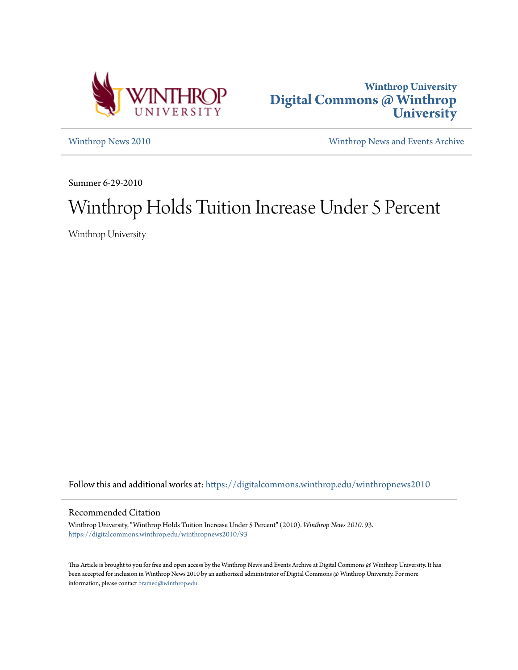



[Winthrop News 2010](https://digitalcommons.winthrop.edu/winthropnews2010?utm_source=digitalcommons.winthrop.edu%2Fwinthropnews2010%2F93&utm_medium=PDF&utm_campaign=PDFCoverPages) [Winthrop News and Events Archive](https://digitalcommons.winthrop.edu/winthropnewsarchives?utm_source=digitalcommons.winthrop.edu%2Fwinthropnews2010%2F93&utm_medium=PDF&utm_campaign=PDFCoverPages)

Summer 6-29-2010

# Winthrop Holds Tuition Increase Under 5 Percent

Winthrop University

Follow this and additional works at: [https://digitalcommons.winthrop.edu/winthropnews2010](https://digitalcommons.winthrop.edu/winthropnews2010?utm_source=digitalcommons.winthrop.edu%2Fwinthropnews2010%2F93&utm_medium=PDF&utm_campaign=PDFCoverPages)

### Recommended Citation

Winthrop University, "Winthrop Holds Tuition Increase Under 5 Percent" (2010). *Winthrop News 2010*. 93. [https://digitalcommons.winthrop.edu/winthropnews2010/93](https://digitalcommons.winthrop.edu/winthropnews2010/93?utm_source=digitalcommons.winthrop.edu%2Fwinthropnews2010%2F93&utm_medium=PDF&utm_campaign=PDFCoverPages)

This Article is brought to you for free and open access by the Winthrop News and Events Archive at Digital Commons @ Winthrop University. It has been accepted for inclusion in Winthrop News 2010 by an authorized administrator of Digital Commons @ Winthrop University. For more information, please contact [bramed@winthrop.edu](mailto:bramed@winthrop.edu).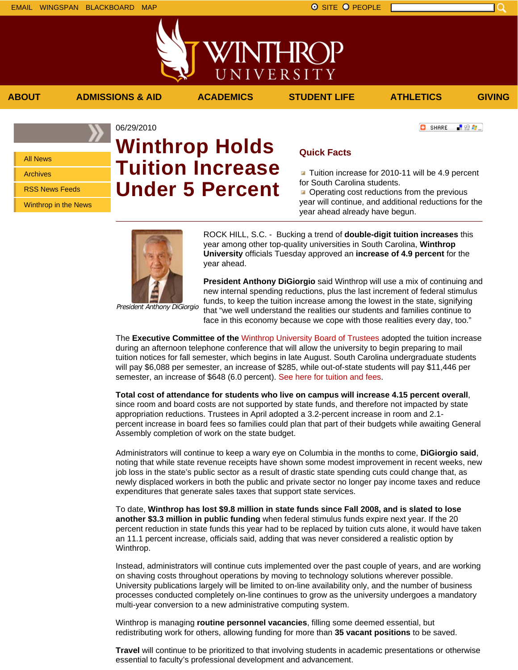All News Archives

RSS News Feeds

Winthrop in the News

## 06/29/2010 **Winthrop Holds Tuition Increase Under 5 Percent**

**ABOUT ADMISSIONS & AID ACADEMICS STUDENT LIFE ATHLETICS GIVING**

VINTHRC

UNIVERSITY

### **Quick Facts**

**T** Tuition increase for 2010-11 will be 4.9 percent for South Carolina students.

Operating cost reductions from the previous year will continue, and additional reductions for the year ahead already have begun.



President Anthony DiGiorgio

ROCK HILL, S.C. - Bucking a trend of **double-digit tuition increases** this year among other top-quality universities in South Carolina, **Winthrop University** officials Tuesday approved an **increase of 4.9 percent** for the year ahead.

**President Anthony DiGiorgio** said Winthrop will use a mix of continuing and new internal spending reductions, plus the last increment of federal stimulus funds, to keep the tuition increase among the lowest in the state, signifying that "we well understand the realities our students and families continue to face in this economy because we cope with those realities every day, too."

The **Executive Committee of the** Winthrop University Board of Trustees adopted the tuition increase during an afternoon telephone conference that will allow the university to begin preparing to mail tuition notices for fall semester, which begins in late August. South Carolina undergraduate students will pay \$6,088 per semester, an increase of \$285, while out-of-state students will pay \$11,446 per semester, an increase of \$648 (6.0 percent). See here for tuition and fees.

**Total cost of attendance for students who live on campus will increase 4.15 percent overall**, since room and board costs are not supported by state funds, and therefore not impacted by state appropriation reductions. Trustees in April adopted a 3.2-percent increase in room and 2.1 percent increase in board fees so families could plan that part of their budgets while awaiting General Assembly completion of work on the state budget.

Administrators will continue to keep a wary eye on Columbia in the months to come, **DiGiorgio said**, noting that while state revenue receipts have shown some modest improvement in recent weeks, new job loss in the state's public sector as a result of drastic state spending cuts could change that, as newly displaced workers in both the public and private sector no longer pay income taxes and reduce expenditures that generate sales taxes that support state services.

To date, **Winthrop has lost \$9.8 million in state funds since Fall 2008, and is slated to lose another \$3.3 million in public funding** when federal stimulus funds expire next year. If the 20 percent reduction in state funds this year had to be replaced by tuition cuts alone, it would have taken an 11.1 percent increase, officials said, adding that was never considered a realistic option by Winthrop.

Instead, administrators will continue cuts implemented over the past couple of years, and are working on shaving costs throughout operations by moving to technology solutions wherever possible. University publications largely will be limited to on-line availability only, and the number of business processes conducted completely on-line continues to grow as the university undergoes a mandatory multi-year conversion to a new administrative computing system.

Winthrop is managing **routine personnel vacancies**, filling some deemed essential, but redistributing work for others, allowing funding for more than **35 vacant positions** to be saved.

**Travel** will continue to be prioritized to that involving students in academic presentations or otherwise essential to faculty's professional development and advancement.